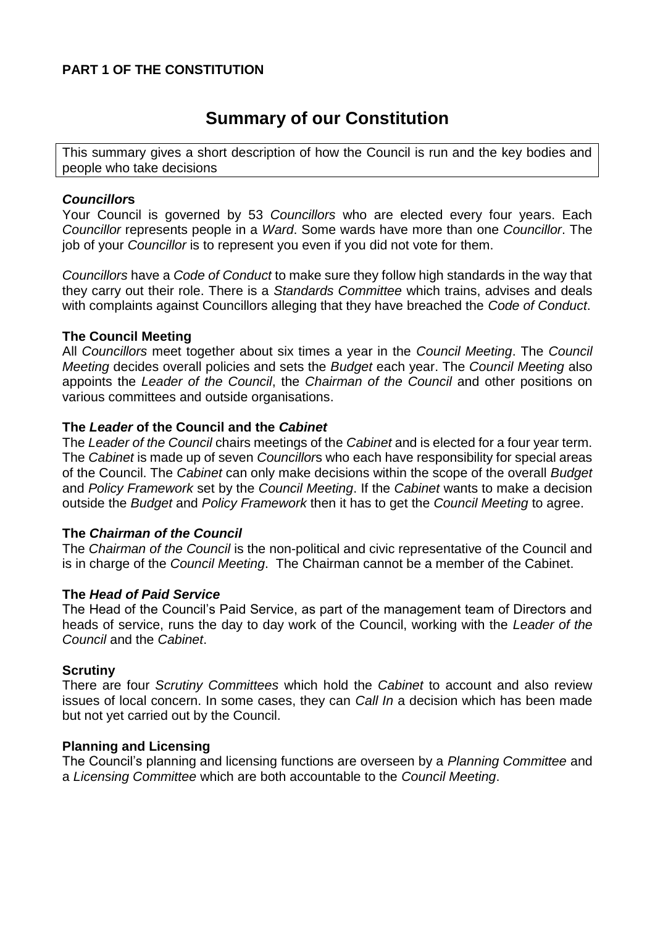### **PART 1 OF THE CONSTITUTION**

# **Summary of our Constitution**

This summary gives a short description of how the Council is run and the key bodies and people who take decisions

#### *Councillor***s**

Your Council is governed by 53 *Councillors* who are elected every four years. Each *Councillor* represents people in a *Ward*. Some wards have more than one *Councillor*. The job of your *Councillor* is to represent you even if you did not vote for them.

*Councillors* have a *Code of Conduct* to make sure they follow high standards in the way that they carry out their role. There is a *Standards Committee* which trains, advises and deals with complaints against Councillors alleging that they have breached the *Code of Conduct*.

#### **The Council Meeting**

All *Councillors* meet together about six times a year in the *Council Meeting*. The *Council Meeting* decides overall policies and sets the *Budget* each year. The *Council Meeting* also appoints the *Leader of the Council*, the *Chairman of the Council* and other positions on various committees and outside organisations.

#### **The** *Leader* **of the Council and the** *Cabinet*

The *Leader of the Council* chairs meetings of the *Cabinet* and is elected for a four year term. The *Cabinet* is made up of seven *Councillor*s who each have responsibility for special areas of the Council. The *Cabinet* can only make decisions within the scope of the overall *Budget* and *Policy Framework* set by the *Council Meeting*. If the *Cabinet* wants to make a decision outside the *Budget* and *Policy Framework* then it has to get the *Council Meeting* to agree.

#### **The** *Chairman of the Council*

The *Chairman of the Council* is the non-political and civic representative of the Council and is in charge of the *Council Meeting*. The Chairman cannot be a member of the Cabinet.

#### **The** *Head of Paid Service*

The Head of the Council's Paid Service, as part of the management team of Directors and heads of service, runs the day to day work of the Council, working with the *Leader of the Council* and the *Cabinet*.

#### **Scrutiny**

There are four *Scrutiny Committees* which hold the *Cabinet* to account and also review issues of local concern. In some cases, they can *Call In* a decision which has been made but not yet carried out by the Council.

#### **Planning and Licensing**

The Council's planning and licensing functions are overseen by a *Planning Committee* and a *Licensing Committee* which are both accountable to the *Council Meeting*.